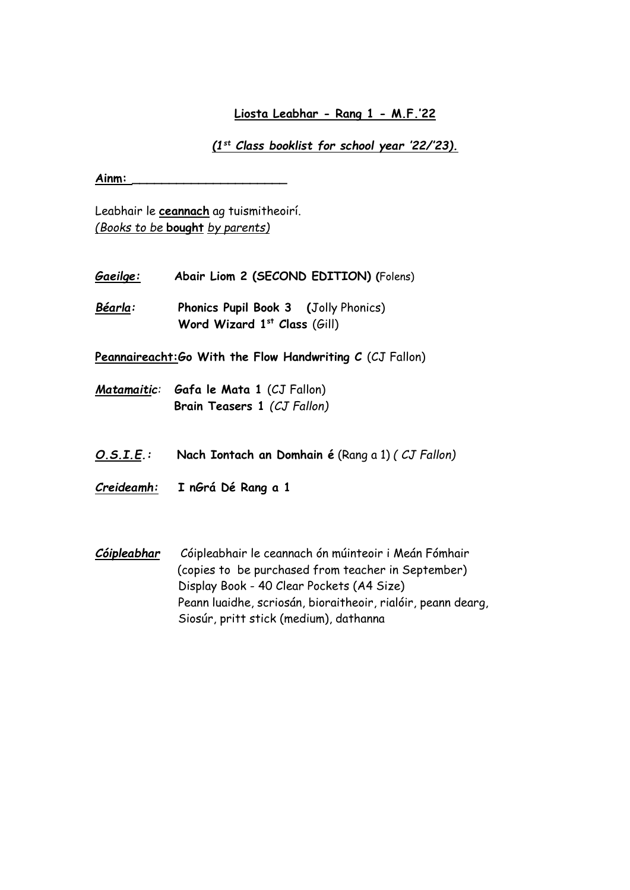## **Liosta Leabhar - Rang 1 - M.F.'22**

*(1st Class booklist for school year '22/'23).*

**Ainm: \_\_\_\_\_\_\_\_\_\_\_\_\_\_\_\_\_\_\_\_\_**

Leabhair le **ceannach** ag tuismitheoirí. *(Books to be* **bought** *by parents)*

- *Gaeilge:* **Abair Liom 2 (SECOND EDITION) (**Folens)
- *Béarla:* **Phonics Pupil Book 3 (**Jolly Phonics) **Word Wizard 1st Class** (Gill)

**Peannaireacht:Go With the Flow Handwriting C** (CJ Fallon)

*Matamaitic:* **Gafa le Mata 1** (CJ Fallon) **Brain Teasers 1** *(CJ Fallon)*

*O.S.I.E.:* **Nach Iontach an Domhain é** (Rang a 1) *( CJ Fallon)*

- *Creideamh:* **I nGrá Dé Rang a 1**
- *Cóipleabhar* Cóipleabhair le ceannach ón múinteoir i Meán Fómhair (copies to be purchased from teacher in September) Display Book - 40 Clear Pockets (A4 Size) Peann luaidhe, scriosán, bioraitheoir, rialóir, peann dearg, Siosúr, pritt stick (medium), dathanna